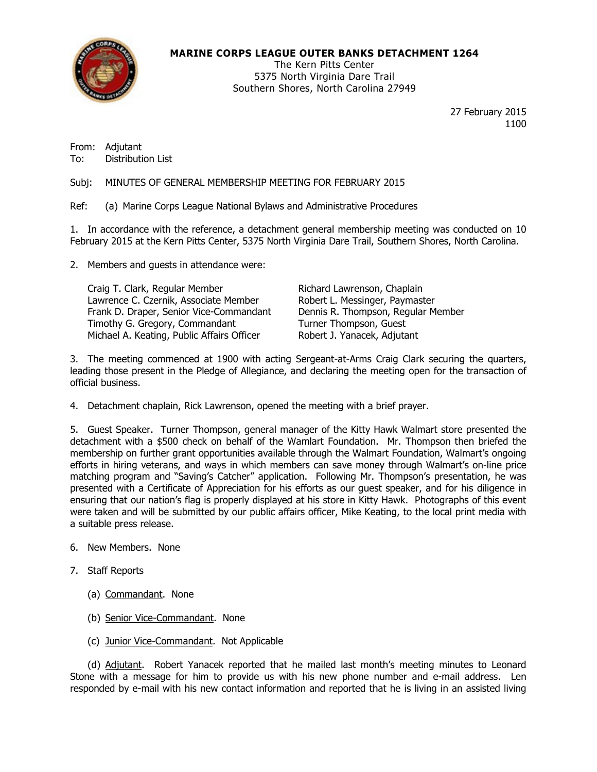

# MARINE CORPS LEAGUE OUTER BANKS DETACHMENT 1264

The Kern Pitts Center 5375 North Virginia Dare Trail Southern Shores, North Carolina 27949

> 27 February 2015 1100

From: Adjutant To: Distribution List

Subj: MINUTES OF GENERAL MEMBERSHIP MEETING FOR FEBRUARY 2015

Ref: (a) Marine Corps League National Bylaws and Administrative Procedures

1. In accordance with the reference, a detachment general membership meeting was conducted on 10 February 2015 at the Kern Pitts Center, 5375 North Virginia Dare Trail, Southern Shores, North Carolina.

2. Members and guests in attendance were:

| Craig T. Clark, Regular Member             | Richard Lawrenson, Chaplain        |
|--------------------------------------------|------------------------------------|
| Lawrence C. Czernik, Associate Member      | Robert L. Messinger, Paymaster     |
| Frank D. Draper, Senior Vice-Commandant    | Dennis R. Thompson, Regular Member |
| Timothy G. Gregory, Commandant             | Turner Thompson, Guest             |
| Michael A. Keating, Public Affairs Officer | Robert J. Yanacek, Adjutant        |

3. The meeting commenced at 1900 with acting Sergeant-at-Arms Craig Clark securing the quarters, leading those present in the Pledge of Allegiance, and declaring the meeting open for the transaction of official business.

4. Detachment chaplain, Rick Lawrenson, opened the meeting with a brief prayer.

5. Guest Speaker. Turner Thompson, general manager of the Kitty Hawk Walmart store presented the detachment with a \$500 check on behalf of the Wamlart Foundation. Mr. Thompson then briefed the membership on further grant opportunities available through the Walmart Foundation, Walmart's ongoing efforts in hiring veterans, and ways in which members can save money through Walmart's on-line price matching program and "Saving's Catcher" application. Following Mr. Thompson's presentation, he was presented with a Certificate of Appreciation for his efforts as our guest speaker, and for his diligence in ensuring that our nation's flag is properly displayed at his store in Kitty Hawk. Photographs of this event were taken and will be submitted by our public affairs officer, Mike Keating, to the local print media with a suitable press release.

## 6. New Members. None

- 7. Staff Reports
	- (a) Commandant. None
	- (b) Senior Vice-Commandant. None
	- (c) Junior Vice-Commandant. Not Applicable

 (d) Adjutant. Robert Yanacek reported that he mailed last month's meeting minutes to Leonard Stone with a message for him to provide us with his new phone number and e-mail address. Len responded by e-mail with his new contact information and reported that he is living in an assisted living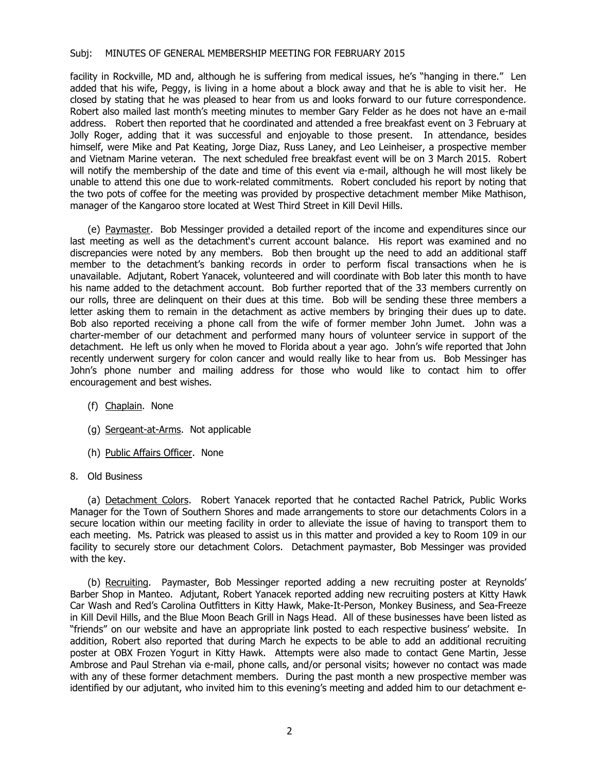### Subj: MINUTES OF GENERAL MEMBERSHIP MEETING FOR FEBRUARY 2015

facility in Rockville, MD and, although he is suffering from medical issues, he's "hanging in there." Len added that his wife, Peggy, is living in a home about a block away and that he is able to visit her. He closed by stating that he was pleased to hear from us and looks forward to our future correspondence. Robert also mailed last month's meeting minutes to member Gary Felder as he does not have an e-mail address. Robert then reported that he coordinated and attended a free breakfast event on 3 February at Jolly Roger, adding that it was successful and enjoyable to those present. In attendance, besides himself, were Mike and Pat Keating, Jorge Diaz, Russ Laney, and Leo Leinheiser, a prospective member and Vietnam Marine veteran. The next scheduled free breakfast event will be on 3 March 2015. Robert will notify the membership of the date and time of this event via e-mail, although he will most likely be unable to attend this one due to work-related commitments. Robert concluded his report by noting that the two pots of coffee for the meeting was provided by prospective detachment member Mike Mathison, manager of the Kangaroo store located at West Third Street in Kill Devil Hills.

 (e) Paymaster. Bob Messinger provided a detailed report of the income and expenditures since our last meeting as well as the detachment's current account balance. His report was examined and no discrepancies were noted by any members. Bob then brought up the need to add an additional staff member to the detachment's banking records in order to perform fiscal transactions when he is unavailable. Adjutant, Robert Yanacek, volunteered and will coordinate with Bob later this month to have his name added to the detachment account. Bob further reported that of the 33 members currently on our rolls, three are delinquent on their dues at this time. Bob will be sending these three members a letter asking them to remain in the detachment as active members by bringing their dues up to date. Bob also reported receiving a phone call from the wife of former member John Jumet. John was a charter-member of our detachment and performed many hours of volunteer service in support of the detachment. He left us only when he moved to Florida about a year ago. John's wife reported that John recently underwent surgery for colon cancer and would really like to hear from us. Bob Messinger has John's phone number and mailing address for those who would like to contact him to offer encouragement and best wishes.

- (f) Chaplain. None
- (g) Sergeant-at-Arms. Not applicable
- (h) Public Affairs Officer. None
- 8. Old Business

(a) Detachment Colors. Robert Yanacek reported that he contacted Rachel Patrick, Public Works Manager for the Town of Southern Shores and made arrangements to store our detachments Colors in a secure location within our meeting facility in order to alleviate the issue of having to transport them to each meeting. Ms. Patrick was pleased to assist us in this matter and provided a key to Room 109 in our facility to securely store our detachment Colors. Detachment paymaster, Bob Messinger was provided with the key.

 (b) Recruiting. Paymaster, Bob Messinger reported adding a new recruiting poster at Reynolds' Barber Shop in Manteo. Adjutant, Robert Yanacek reported adding new recruiting posters at Kitty Hawk Car Wash and Red's Carolina Outfitters in Kitty Hawk, Make-It-Person, Monkey Business, and Sea-Freeze in Kill Devil Hills, and the Blue Moon Beach Grill in Nags Head. All of these businesses have been listed as "friends" on our website and have an appropriate link posted to each respective business' website. In addition, Robert also reported that during March he expects to be able to add an additional recruiting poster at OBX Frozen Yogurt in Kitty Hawk. Attempts were also made to contact Gene Martin, Jesse Ambrose and Paul Strehan via e-mail, phone calls, and/or personal visits; however no contact was made with any of these former detachment members. During the past month a new prospective member was identified by our adjutant, who invited him to this evening's meeting and added him to our detachment e-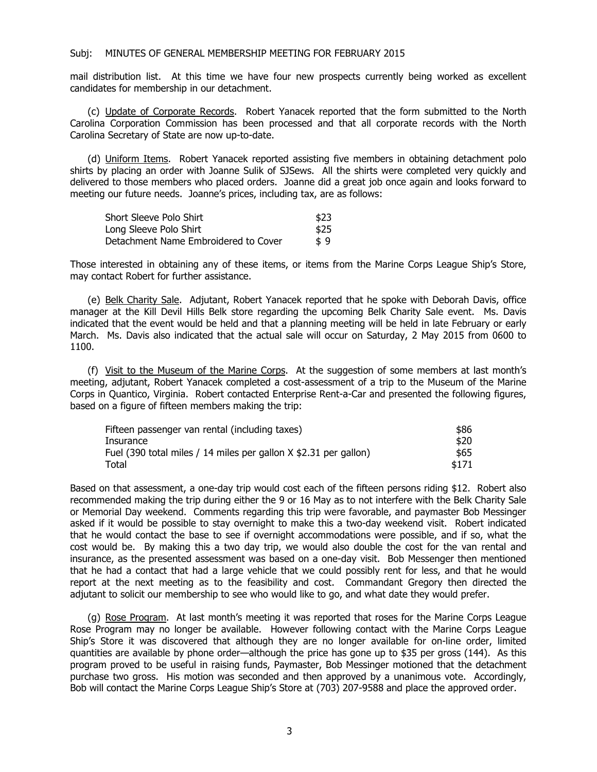#### Subj: MINUTES OF GENERAL MEMBERSHIP MEETING FOR FEBRUARY 2015

mail distribution list. At this time we have four new prospects currently being worked as excellent candidates for membership in our detachment.

 (c) Update of Corporate Records. Robert Yanacek reported that the form submitted to the North Carolina Corporation Commission has been processed and that all corporate records with the North Carolina Secretary of State are now up-to-date.

 (d) Uniform Items. Robert Yanacek reported assisting five members in obtaining detachment polo shirts by placing an order with Joanne Sulik of SJSews. All the shirts were completed very quickly and delivered to those members who placed orders. Joanne did a great job once again and looks forward to meeting our future needs. Joanne's prices, including tax, are as follows:

| Short Sleeve Polo Shirt              | \$23 |
|--------------------------------------|------|
| Long Sleeve Polo Shirt               | \$25 |
| Detachment Name Embroidered to Cover | \$9  |

Those interested in obtaining any of these items, or items from the Marine Corps League Ship's Store, may contact Robert for further assistance.

 (e) Belk Charity Sale. Adjutant, Robert Yanacek reported that he spoke with Deborah Davis, office manager at the Kill Devil Hills Belk store regarding the upcoming Belk Charity Sale event. Ms. Davis indicated that the event would be held and that a planning meeting will be held in late February or early March. Ms. Davis also indicated that the actual sale will occur on Saturday, 2 May 2015 from 0600 to 1100.

 (f) Visit to the Museum of the Marine Corps. At the suggestion of some members at last month's meeting, adjutant, Robert Yanacek completed a cost-assessment of a trip to the Museum of the Marine Corps in Quantico, Virginia. Robert contacted Enterprise Rent-a-Car and presented the following figures, based on a figure of fifteen members making the trip:

| Fifteen passenger van rental (including taxes)                   | \$86  |
|------------------------------------------------------------------|-------|
| Insurance                                                        | \$20  |
| Fuel (390 total miles / 14 miles per gallon X \$2.31 per gallon) | \$65  |
| Total                                                            | \$171 |

Based on that assessment, a one-day trip would cost each of the fifteen persons riding \$12. Robert also recommended making the trip during either the 9 or 16 May as to not interfere with the Belk Charity Sale or Memorial Day weekend. Comments regarding this trip were favorable, and paymaster Bob Messinger asked if it would be possible to stay overnight to make this a two-day weekend visit. Robert indicated that he would contact the base to see if overnight accommodations were possible, and if so, what the cost would be. By making this a two day trip, we would also double the cost for the van rental and insurance, as the presented assessment was based on a one-day visit. Bob Messenger then mentioned that he had a contact that had a large vehicle that we could possibly rent for less, and that he would report at the next meeting as to the feasibility and cost. Commandant Gregory then directed the adjutant to solicit our membership to see who would like to go, and what date they would prefer.

(g) Rose Program. At last month's meeting it was reported that roses for the Marine Corps League Rose Program may no longer be available. However following contact with the Marine Corps League Ship's Store it was discovered that although they are no longer available for on-line order, limited quantities are available by phone order—although the price has gone up to \$35 per gross (144). As this program proved to be useful in raising funds, Paymaster, Bob Messinger motioned that the detachment purchase two gross. His motion was seconded and then approved by a unanimous vote. Accordingly, Bob will contact the Marine Corps League Ship's Store at (703) 207-9588 and place the approved order.